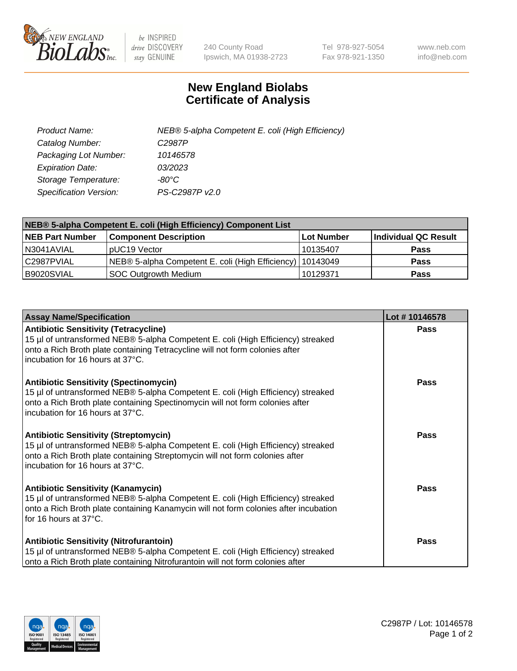

 $be$  INSPIRED drive DISCOVERY stay GENUINE

240 County Road Ipswich, MA 01938-2723 Tel 978-927-5054 Fax 978-921-1350 www.neb.com info@neb.com

## **New England Biolabs Certificate of Analysis**

| Product Name:                 | NEB® 5-alpha Competent E. coli (High Efficiency) |
|-------------------------------|--------------------------------------------------|
| Catalog Number:               | C <sub>2987</sub> P                              |
| Packaging Lot Number:         | 10146578                                         |
| <b>Expiration Date:</b>       | 03/2023                                          |
| Storage Temperature:          | -80°C                                            |
| <b>Specification Version:</b> | PS-C2987P v2.0                                   |

| NEB® 5-alpha Competent E. coli (High Efficiency) Component List |                                                             |            |                      |  |
|-----------------------------------------------------------------|-------------------------------------------------------------|------------|----------------------|--|
| <b>NEB Part Number</b>                                          | <b>Component Description</b>                                | Lot Number | Individual QC Result |  |
| N3041AVIAL                                                      | pUC19 Vector                                                | 10135407   | <b>Pass</b>          |  |
| C2987PVIAL                                                      | NEB® 5-alpha Competent E. coli (High Efficiency)   10143049 |            | <b>Pass</b>          |  |
| B9020SVIAL                                                      | SOC Outgrowth Medium                                        | 10129371   | <b>Pass</b>          |  |

| <b>Assay Name/Specification</b>                                                                                                                                                                                                                        | Lot #10146578 |
|--------------------------------------------------------------------------------------------------------------------------------------------------------------------------------------------------------------------------------------------------------|---------------|
| <b>Antibiotic Sensitivity (Tetracycline)</b><br>15 µl of untransformed NEB® 5-alpha Competent E. coli (High Efficiency) streaked<br>onto a Rich Broth plate containing Tetracycline will not form colonies after<br>incubation for 16 hours at 37°C.   | <b>Pass</b>   |
| <b>Antibiotic Sensitivity (Spectinomycin)</b><br>15 µl of untransformed NEB® 5-alpha Competent E. coli (High Efficiency) streaked<br>onto a Rich Broth plate containing Spectinomycin will not form colonies after<br>incubation for 16 hours at 37°C. | Pass          |
| <b>Antibiotic Sensitivity (Streptomycin)</b><br>15 µl of untransformed NEB® 5-alpha Competent E. coli (High Efficiency) streaked<br>onto a Rich Broth plate containing Streptomycin will not form colonies after<br>incubation for 16 hours at 37°C.   | Pass          |
| <b>Antibiotic Sensitivity (Kanamycin)</b><br>15 µl of untransformed NEB® 5-alpha Competent E. coli (High Efficiency) streaked<br>onto a Rich Broth plate containing Kanamycin will not form colonies after incubation<br>for 16 hours at 37°C.         | <b>Pass</b>   |
| <b>Antibiotic Sensitivity (Nitrofurantoin)</b><br>15 µl of untransformed NEB® 5-alpha Competent E. coli (High Efficiency) streaked<br>onto a Rich Broth plate containing Nitrofurantoin will not form colonies after                                   | Pass          |